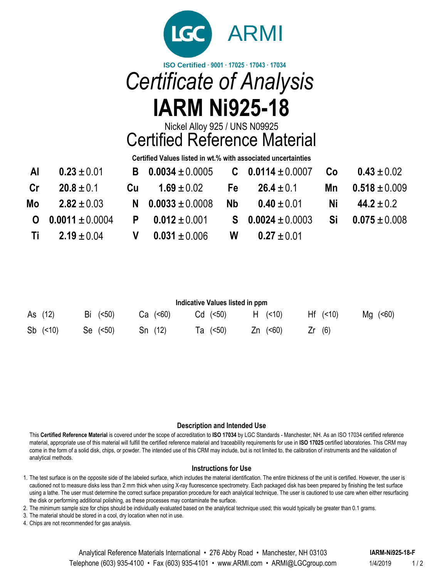

# *Certificate of Analysis* **IARM Ni925-18**

Nickel Alloy 925 / UNS N09925

Certified Reference Material

**Certified Values listed in wt.% with associated uncertainties**

|               | Al $0.23 \pm 0.01$                     | <b>B</b> $0.0034 \pm 0.0005$ <b>C</b> $0.0114 \pm 0.0007$ <b>Co</b> $0.43 \pm 0.02$ |                          |                          |
|---------------|----------------------------------------|-------------------------------------------------------------------------------------|--------------------------|--------------------------|
| $\mathsf{Cr}$ | $20.8 \pm 0.1$                         | Cu $1.69 \pm 0.02$ Fe $26.4 \pm 0.1$ Mn $0.518 \pm 0.009$                           |                          |                          |
|               | Mo $2.82 \pm 0.03$                     | N $0.0033 \pm 0.0008$                                                               | $Nb$ 0.40 $\pm$ 0.01     | <b>Ni</b> $44.2 \pm 0.2$ |
|               | <b>O</b> $0.0011 \pm 0.0004$           | <b>P</b> $0.012 \pm 0.001$ S $0.0024 \pm 0.0003$ Si $0.075 \pm 0.008$               |                          |                          |
|               | Ti $2.19 \pm 0.04$ V $0.031 \pm 0.006$ |                                                                                     | <b>W</b> 0.27 $\pm$ 0.01 |                          |

| Indicative Values listed in ppm |                  |            |             |                      |         |                   |  |  |  |
|---------------------------------|------------------|------------|-------------|----------------------|---------|-------------------|--|--|--|
| As (12)                         | $Bi \quad (<50)$ | $Ca$ (<60) | $Cd$ $(50)$ | (10)<br>H.           | Hf (10) | $Mq \approx (60)$ |  |  |  |
| $Sb$ (<10)                      | Se $(50)$        | Sn(12)     | Ta (<50)    | $Zn \quad (\leq 60)$ | Zr(6)   |                   |  |  |  |

## **Description and Intended Use**

This **Certified Reference Material** is covered under the scope of accreditation to **ISO 17034** by LGC Standards - Manchester, NH. As an ISO 17034 certified reference material, appropriate use of this material will fulfill the certified reference material and traceability requirements for use in **ISO 17025** certified laboratories. This CRM may come in the form of a solid disk, chips, or powder. The intended use of this CRM may include, but is not limited to, the calibration of instruments and the validation of analytical methods.

## **Instructions for Use**

1. The test surface is on the opposite side of the labeled surface, which includes the material identification. The entire thickness of the unit is certified. However, the user is cautioned not to measure disks less than 2 mm thick when using X-ray fluorescence spectrometry. Each packaged disk has been prepared by finishing the test surface using a lathe. The user must determine the correct surface preparation procedure for each analytical technique. The user is cautioned to use care when either resurfacing the disk or performing additional polishing, as these processes may contaminate the surface.

2. The minimum sample size for chips should be individually evaluated based on the analytical technique used; this would typically be greater than 0.1 grams.

3. The material should be stored in a cool, dry location when not in use.

4. Chips are not recommended for gas analysis.